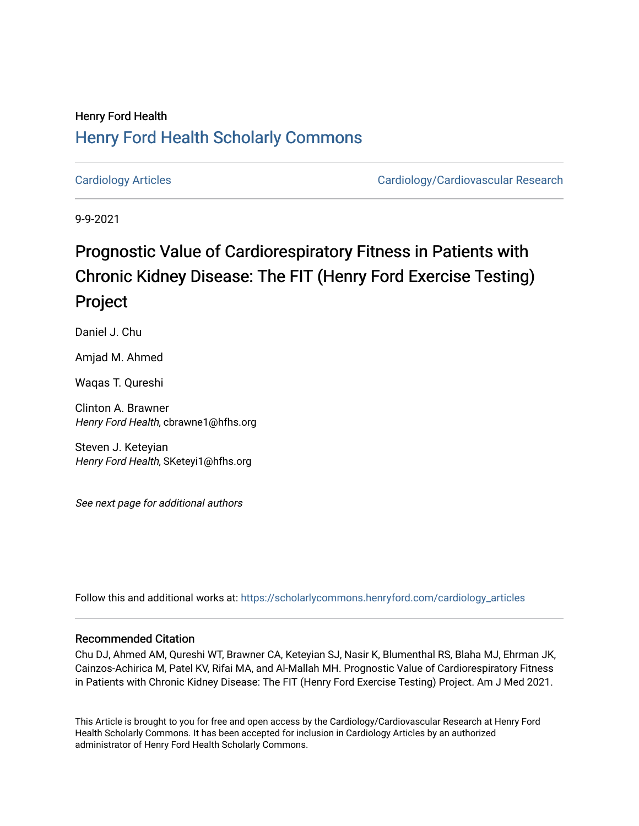### Henry Ford Health [Henry Ford Health Scholarly Commons](https://scholarlycommons.henryford.com/)

[Cardiology Articles](https://scholarlycommons.henryford.com/cardiology_articles) [Cardiology/Cardiovascular Research](https://scholarlycommons.henryford.com/cardiology) 

9-9-2021

### Prognostic Value of Cardiorespiratory Fitness in Patients with Chronic Kidney Disease: The FIT (Henry Ford Exercise Testing) Project

Daniel J. Chu

Amjad M. Ahmed

Waqas T. Qureshi

Clinton A. Brawner Henry Ford Health, cbrawne1@hfhs.org

Steven J. Keteyian Henry Ford Health, SKeteyi1@hfhs.org

See next page for additional authors

Follow this and additional works at: [https://scholarlycommons.henryford.com/cardiology\\_articles](https://scholarlycommons.henryford.com/cardiology_articles?utm_source=scholarlycommons.henryford.com%2Fcardiology_articles%2F824&utm_medium=PDF&utm_campaign=PDFCoverPages)

#### Recommended Citation

Chu DJ, Ahmed AM, Qureshi WT, Brawner CA, Keteyian SJ, Nasir K, Blumenthal RS, Blaha MJ, Ehrman JK, Cainzos-Achirica M, Patel KV, Rifai MA, and Al-Mallah MH. Prognostic Value of Cardiorespiratory Fitness in Patients with Chronic Kidney Disease: The FIT (Henry Ford Exercise Testing) Project. Am J Med 2021.

This Article is brought to you for free and open access by the Cardiology/Cardiovascular Research at Henry Ford Health Scholarly Commons. It has been accepted for inclusion in Cardiology Articles by an authorized administrator of Henry Ford Health Scholarly Commons.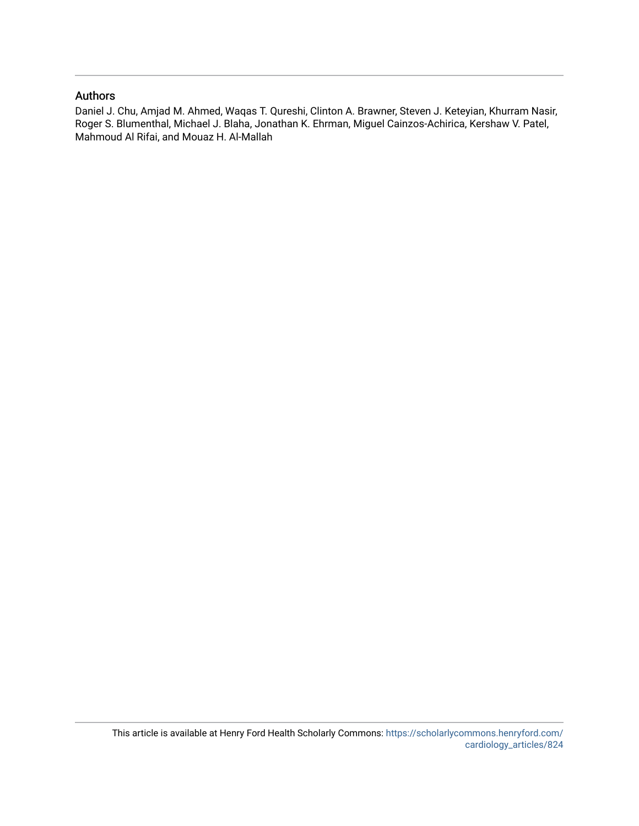#### Authors

Daniel J. Chu, Amjad M. Ahmed, Waqas T. Qureshi, Clinton A. Brawner, Steven J. Keteyian, Khurram Nasir, Roger S. Blumenthal, Michael J. Blaha, Jonathan K. Ehrman, Miguel Cainzos-Achirica, Kershaw V. Patel, Mahmoud Al Rifai, and Mouaz H. Al-Mallah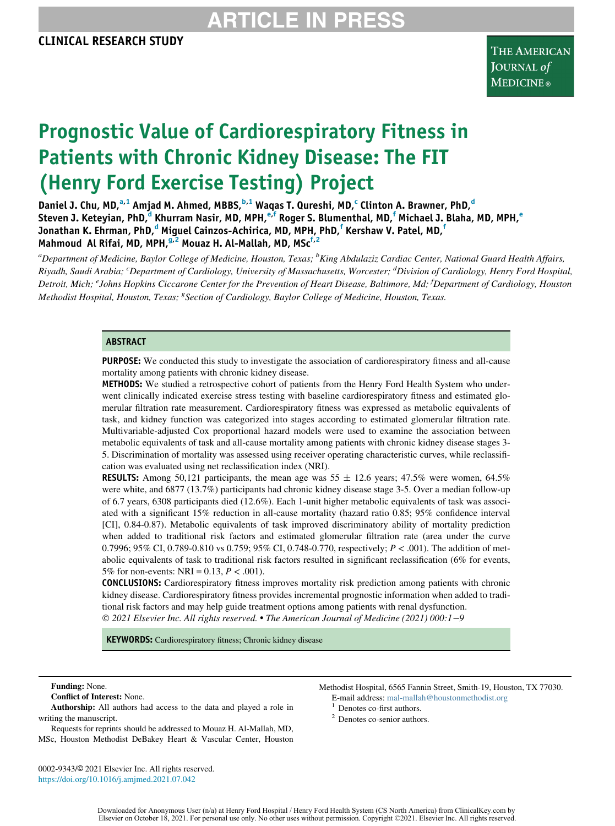### ARTICLE IN

# Prognostic Value of Cardiorespiratory Fitness in Patients with Chronic Kidney Disease: The FIT (Henry Ford Exercise Testing) Project

Daniel J. Chu, MD,<sup>[a,](#page-2-0)[1](#page-2-1)</sup> Amjad M. Ahmed, MBBS,<sup>[b,](#page-2-0)1</sup> Waqas T. Qureshi, MD,<sup>[c](#page-2-2)</sup> Clinton A. Brawner, PhD,<sup>[d](#page-2-2)</sup> Steven J. Keteyian, PhD,<sup>[d](#page-2-2)</sup> Khurram Nasir, MD, MPH,<sup>[e,f](#page-2-3)</sup> Roger S. Blumenthal, MD,<sup>[f](#page-2-3)</sup> Micha[e](#page-2-3)l J. Blaha, MD, MPH,<sup>e</sup> Jonathan K. Ehrman, PhD,<sup>[d](#page-2-2)</sup> Miguel Cainzos-Achirica, MD, MPH, PhD,<sup>[f](#page-2-3)</sup> Kershaw V. Patel, MD,<sup>f</sup> Mahmoud Al Rifai, MD, MPH,  $9.2$  $9.2$  Mouaz H. Al-Mallah, MD, MSc<sup>[f,](#page-2-3)2</sup>

<span id="page-2-4"></span><span id="page-2-3"></span><span id="page-2-2"></span><span id="page-2-0"></span><sup>a</sup>Department of Medicine, Baylor College of Medicine, Houston, Texas; <sup>b</sup>King Abdulaziz Cardiac Center, National Guard Health Affairs, Riyadh, Saudi Arabia; <sup>c</sup>Department of Cardiology, University of Massachusetts, Worcester; <sup>d</sup>Division of Cardiology, Henry Ford Hospital, Detroit, Mich; <sup>e</sup>Johns Hopkins Ciccarone Center for the Prevention of Heart Disease, Baltimore, Md; <sup>f</sup>Department of Cardiology, Houston Methodist Hospital, Houston, Texas; <sup>8</sup>Section of Cardiology, Baylor College of Medicine, Houston, Texas.

#### ABSTRACT

PURPOSE: We conducted this study to investigate the association of cardiorespiratory fitness and all-cause mortality among patients with chronic kidney disease.

METHODS: We studied a retrospective cohort of patients from the Henry Ford Health System who underwent clinically indicated exercise stress testing with baseline cardiorespiratory fitness and estimated glomerular filtration rate measurement. Cardiorespiratory fitness was expressed as metabolic equivalents of task, and kidney function was categorized into stages according to estimated glomerular filtration rate. Multivariable-adjusted Cox proportional hazard models were used to examine the association between metabolic equivalents of task and all-cause mortality among patients with chronic kidney disease stages 3- 5. Discrimination of mortality was assessed using receiver operating characteristic curves, while reclassification was evaluated using net reclassification index (NRI).

**RESULTS:** Among 50,121 participants, the mean age was  $55 \pm 12.6$  years; 47.5% were women, 64.5% were white, and 6877 (13.7%) participants had chronic kidney disease stage 3-5. Over a median follow-up of 6.7 years, 6308 participants died (12.6%). Each 1-unit higher metabolic equivalents of task was associated with a significant 15% reduction in all-cause mortality (hazard ratio 0.85; 95% confidence interval [CI], 0.84-0.87). Metabolic equivalents of task improved discriminatory ability of mortality prediction when added to traditional risk factors and estimated glomerular filtration rate (area under the curve 0.7996; 95% CI, 0.789-0.810 vs 0.759; 95% CI, 0.748-0.770, respectively;  $P < .001$ ). The addition of metabolic equivalents of task to traditional risk factors resulted in significant reclassification (6% for events, 5% for non-events: NRI = 0.13,  $P < .001$ ).

CONCLUSIONS: Cardiorespiratory fitness improves mortality risk prediction among patients with chronic kidney disease. Cardiorespiratory fitness provides incremental prognostic information when added to traditional risk factors and may help guide treatment options among patients with renal dysfunction. 2021 Elsevier Inc. All rights reserved. The American Journal of Medicine (2021) 000:1−9

KEYWORDS: Cardiorespiratory fitness; Chronic kidney disease

#### Funding: None.

Conflict of Interest: None.

<span id="page-2-5"></span><span id="page-2-1"></span>Authorship: All authors had access to the data and played a role in writing the manuscript.

Requests for reprints should be addressed to Mouaz H. Al-Mallah, MD, MSc, Houston Methodist DeBakey Heart & Vascular Center, Houston

0002-9343/© 2021 Elsevier Inc. All rights reserved. <https://doi.org/10.1016/j.amjmed.2021.07.042>

Methodist Hospital, 6565 Fannin Street, Smith-19, Houston, TX 77030. E-mail address: [mal-mallah@houstonmethodist.org](mailto:mal-mallah@houstonmethodist.org) <sup>1</sup> Denotes co-first authors.

- 
- <sup>2</sup> Denotes co-senior authors.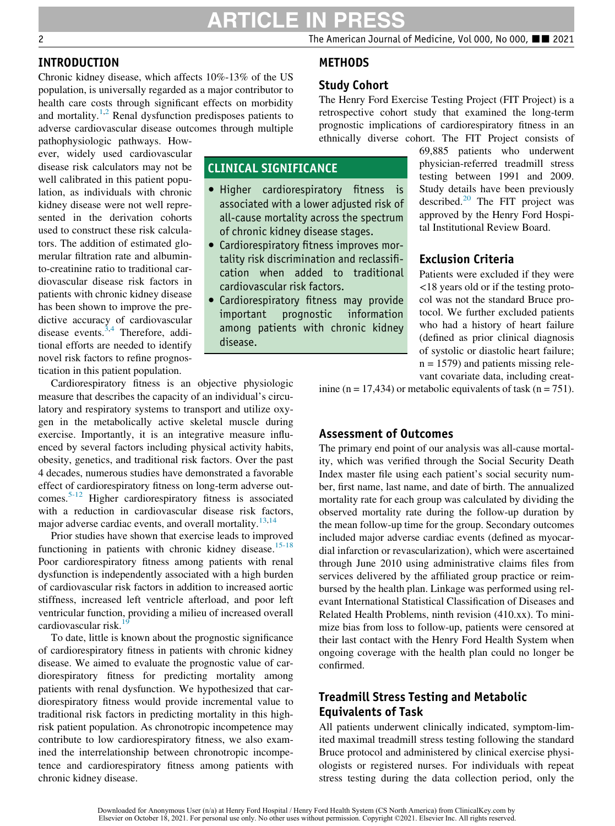### ARTICLE IN

METHODS

Study Cohort

The Henry Ford Exercise Testing Project (FIT Project) is a retrospective cohort study that examined the long-term

#### INTRODUCTION

Chronic kidney disease, which affects 10%-13% of the US population, is universally regarded as a major contributor to health care costs through significant effects on morbidity and mortality.<sup>[1](#page-9-0)[,2](#page-9-1)</sup> Renal dysfunction predisposes patients to adverse cardiovascular disease outcomes through multiple

pathophysiologic pathways. However, widely used cardiovascular disease risk calculators may not be well calibrated in this patient population, as individuals with chronic kidney disease were not well represented in the derivation cohorts used to construct these risk calculators. The addition of estimated glomerular filtration rate and albuminto-creatinine ratio to traditional cardiovascular disease risk factors in patients with chronic kidney disease has been shown to improve the predictive accuracy of cardiovascular disease events.<sup>[3](#page-9-2)[,4](#page-9-3)</sup> Therefore, additional efforts are needed to identify novel risk factors to refine prognostication in this patient population.

### CLINICAL SIGNIFICANCE

- Higher cardiorespiratory fitness is associated with a lower adjusted risk of all-cause mortality across the spectrum of chronic kidney disease stages.
- Cardiorespiratory fitness improves mortality risk discrimination and reclassification when added to traditional cardiovascular risk factors.
- Cardiorespiratory fitness may provide information among patients with chronic kidney disease.

#### prognostic implications of cardiorespiratory fitness in an ethnically diverse cohort. The FIT Project consists of 69,885 patients who underwent physician-referred treadmill stress testing between 1991 and 2009. Study details have been previously described. $^{20}$  $^{20}$  $^{20}$  The FIT project was approved by the Henry Ford Hospi-

tal Institutional Review Board.

#### Exclusion Criteria

Patients were excluded if they were <18 years old or if the testing protocol was not the standard Bruce protocol. We further excluded patients who had a history of heart failure (defined as prior clinical diagnosis of systolic or diastolic heart failure;  $n = 1579$ ) and patients missing relevant covariate data, including creat-

Cardiorespiratory fitness is an objective physiologic measure that describes the capacity of an individual's circulatory and respiratory systems to transport and utilize oxygen in the metabolically active skeletal muscle during exercise. Importantly, it is an integrative measure influenced by several factors including physical activity habits, obesity, genetics, and traditional risk factors. Over the past 4 decades, numerous studies have demonstrated a favorable effect of cardiorespiratory fitness on long-term adverse outcomes.[5-12](#page-9-4) Higher cardiorespiratory fitness is associated with a reduction in cardiovascular disease risk factors, major adverse cardiac events, and overall mortality. $13,14$  $13,14$ 

Prior studies have shown that exercise leads to improved functioning in patients with chronic kidney disease.<sup>15-18</sup> Poor cardiorespiratory fitness among patients with renal dysfunction is independently associated with a high burden of cardiovascular risk factors in addition to increased aortic stiffness, increased left ventricle afterload, and poor left ventricular function, providing a milieu of increased overall cardiovascular risk. $19$ 

To date, little is known about the prognostic significance of cardiorespiratory fitness in patients with chronic kidney disease. We aimed to evaluate the prognostic value of cardiorespiratory fitness for predicting mortality among patients with renal dysfunction. We hypothesized that cardiorespiratory fitness would provide incremental value to traditional risk factors in predicting mortality in this highrisk patient population. As chronotropic incompetence may contribute to low cardiorespiratory fitness, we also examined the interrelationship between chronotropic incompetence and cardiorespiratory fitness among patients with chronic kidney disease.

inine (n = 17,434) or metabolic equivalents of task (n = 751).

#### Assessment of Outcomes

The primary end point of our analysis was all-cause mortality, which was verified through the Social Security Death Index master file using each patient's social security number, first name, last name, and date of birth. The annualized mortality rate for each group was calculated by dividing the observed mortality rate during the follow-up duration by the mean follow-up time for the group. Secondary outcomes included major adverse cardiac events (defined as myocardial infarction or revascularization), which were ascertained through June 2010 using administrative claims files from services delivered by the affiliated group practice or reimbursed by the health plan. Linkage was performed using relevant International Statistical Classification of Diseases and Related Health Problems, ninth revision (410.xx). To minimize bias from loss to follow-up, patients were censored at their last contact with the Henry Ford Health System when ongoing coverage with the health plan could no longer be confirmed.

#### Treadmill Stress Testing and Metabolic Equivalents of Task

All patients underwent clinically indicated, symptom-limited maximal treadmill stress testing following the standard Bruce protocol and administered by clinical exercise physiologists or registered nurses. For individuals with repeat stress testing during the data collection period, only the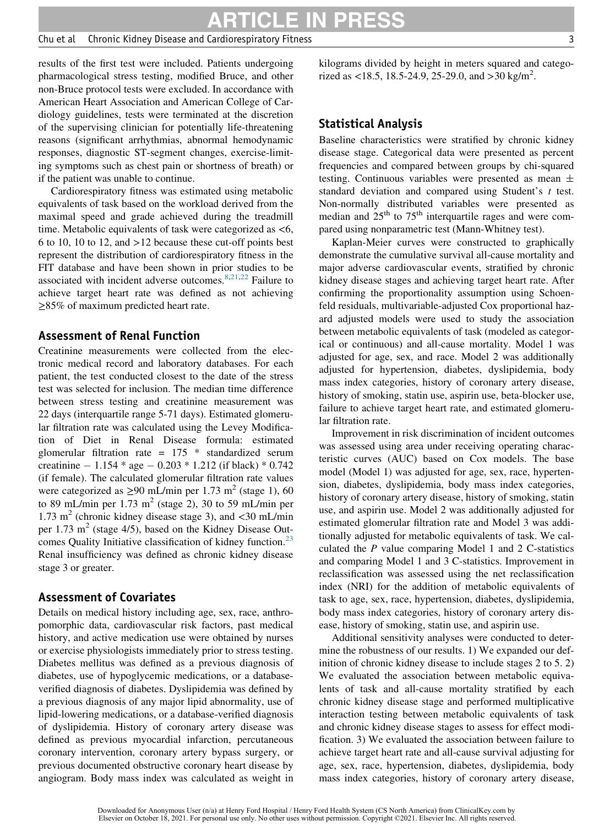ARTICLE IN PRESS

#### Chu et al Chronic Kidney Disease and Cardiorespiratory Fitness 3

results of the first test were included. Patients undergoing pharmacological stress testing, modified Bruce, and other non-Bruce protocol tests were excluded. In accordance with American Heart Association and American College of Cardiology guidelines, tests were terminated at the discretion of the supervising clinician for potentially life-threatening reasons (significant arrhythmias, abnormal hemodynamic responses, diagnostic ST-segment changes, exercise-limiting symptoms such as chest pain or shortness of breath) or if the patient was unable to continue.

Cardiorespiratory fitness was estimated using metabolic equivalents of task based on the workload derived from the maximal speed and grade achieved during the treadmill time. Metabolic equivalents of task were categorized as <6, 6 to 10, 10 to 12, and >12 because these cut-off points best represent the distribution of cardiorespiratory fitness in the FIT database and have been shown in prior studies to be associated with incident adverse outcomes.<sup>[8](#page-9-10),[21](#page-9-11)[,22](#page-9-12)</sup> Failure to achieve target heart rate was defined as not achieving ≥85% of maximum predicted heart rate.

#### Assessment of Renal Function

Creatinine measurements were collected from the electronic medical record and laboratory databases. For each patient, the test conducted closest to the date of the stress test was selected for inclusion. The median time difference between stress testing and creatinine measurement was 22 days (interquartile range 5-71 days). Estimated glomerular filtration rate was calculated using the Levey Modification of Diet in Renal Disease formula: estimated glomerular filtration rate = 175 \* standardized serum creatinine  $-1.154 * age - 0.203 * 1.212$  (if black)  $* 0.742$ (if female). The calculated glomerular filtration rate values were categorized as  $\geq$ 90 mL/min per 1.73 m<sup>2</sup> (stage 1), 60 to 89 mL/min per  $1.73 \text{ m}^2$  (stage 2), 30 to 59 mL/min per 1.73 m<sup>2</sup> (chronic kidney disease stage 3), and  $\lt$ 30 mL/min per  $1.73 \text{ m}^2$  (stage  $4/5$ ), based on the Kidney Disease Outcomes Quality Initiative classification of kidney function.<sup>23</sup> Renal insufficiency was defined as chronic kidney disease stage 3 or greater.

#### Assessment of Covariates

Details on medical history including age, sex, race, anthropomorphic data, cardiovascular risk factors, past medical history, and active medication use were obtained by nurses or exercise physiologists immediately prior to stress testing. Diabetes mellitus was defined as a previous diagnosis of diabetes, use of hypoglycemic medications, or a databaseverified diagnosis of diabetes. Dyslipidemia was defined by a previous diagnosis of any major lipid abnormality, use of lipid-lowering medications, or a database-verified diagnosis of dyslipidemia. History of coronary artery disease was defined as previous myocardial infarction, percutaneous coronary intervention, coronary artery bypass surgery, or previous documented obstructive coronary heart disease by angiogram. Body mass index was calculated as weight in kilograms divided by height in meters squared and categorized as <18.5, 18.5-24.9, 25-29.0, and >30 kg/m<sup>2</sup>.

#### Statistical Analysis

Baseline characteristics were stratified by chronic kidney disease stage. Categorical data were presented as percent frequencies and compared between groups by chi-squared testing. Continuous variables were presented as mean  $\pm$ standard deviation and compared using Student's  $t$  test. Non-normally distributed variables were presented as median and  $25<sup>th</sup>$  to  $75<sup>th</sup>$  interquartile rages and were compared using nonparametric test (Mann-Whitney test).

Kaplan-Meier curves were constructed to graphically demonstrate the cumulative survival all-cause mortality and major adverse cardiovascular events, stratified by chronic kidney disease stages and achieving target heart rate. After confirming the proportionality assumption using Schoenfeld residuals, multivariable-adjusted Cox proportional hazard adjusted models were used to study the association between metabolic equivalents of task (modeled as categorical or continuous) and all-cause mortality. Model 1 was adjusted for age, sex, and race. Model 2 was additionally adjusted for hypertension, diabetes, dyslipidemia, body mass index categories, history of coronary artery disease, history of smoking, statin use, aspirin use, beta-blocker use, failure to achieve target heart rate, and estimated glomerular filtration rate.

Improvement in risk discrimination of incident outcomes was assessed using area under receiving operating characteristic curves (AUC) based on Cox models. The base model (Model 1) was adjusted for age, sex, race, hypertension, diabetes, dyslipidemia, body mass index categories, history of coronary artery disease, history of smoking, statin use, and aspirin use. Model 2 was additionally adjusted for estimated glomerular filtration rate and Model 3 was additionally adjusted for metabolic equivalents of task. We calculated the P value comparing Model 1 and 2 C-statistics and comparing Model 1 and 3 C-statistics. Improvement in reclassification was assessed using the net reclassification index (NRI) for the addition of metabolic equivalents of task to age, sex, race, hypertension, diabetes, dyslipidemia, body mass index categories, history of coronary artery disease, history of smoking, statin use, and aspirin use.

Additional sensitivity analyses were conducted to determine the robustness of our results. 1) We expanded our definition of chronic kidney disease to include stages 2 to 5. 2) We evaluated the association between metabolic equivalents of task and all-cause mortality stratified by each chronic kidney disease stage and performed multiplicative interaction testing between metabolic equivalents of task and chronic kidney disease stages to assess for effect modification. 3) We evaluated the association between failure to achieve target heart rate and all-cause survival adjusting for age, sex, race, hypertension, diabetes, dyslipidemia, body mass index categories, history of coronary artery disease,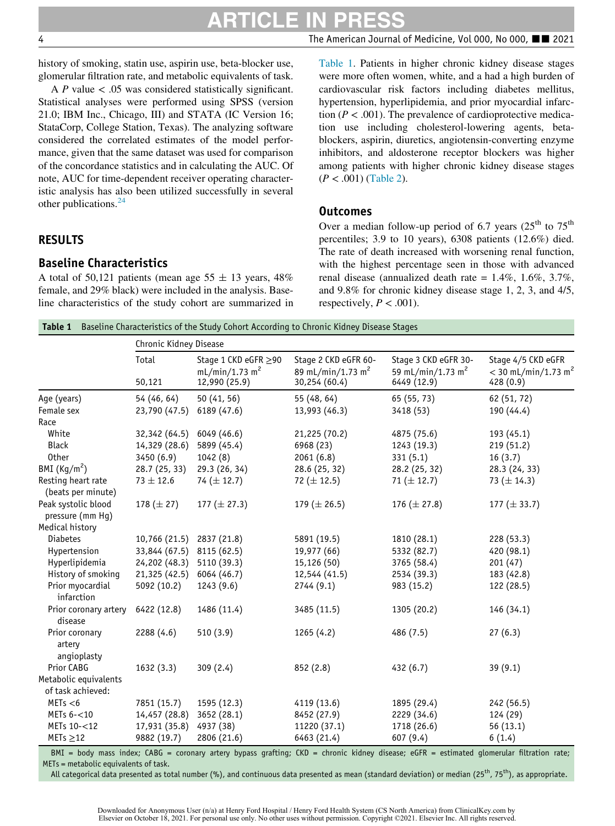## ARTICLE IN PRESS

4 The American Journal of Medicine, Vol 000, No 000, ■■ 2021

history of smoking, statin use, aspirin use, beta-blocker use, glomerular filtration rate, and metabolic equivalents of task.

A P value  $\lt$  .05 was considered statistically significant. Statistical analyses were performed using SPSS (version 21.0; IBM Inc., Chicago, III) and STATA (IC Version 16; StataCorp, College Station, Texas). The analyzing software considered the correlated estimates of the model performance, given that the same dataset was used for comparison of the concordance statistics and in calculating the AUC. Of note, AUC for time-dependent receiver operating characteristic analysis has also been utilized successfully in several other publications.<sup>[24](#page-9-14)</sup>

#### RESULTS

#### Baseline Characteristics

A total of 50,121 patients (mean age  $55 \pm 13$  years, 48% female, and 29% black) were included in the analysis. Baseline characteristics of the study cohort are summarized in [Table 1.](#page-5-0) Patients in higher chronic kidney disease stages were more often women, white, and a had a high burden of cardiovascular risk factors including diabetes mellitus, hypertension, hyperlipidemia, and prior myocardial infarction ( $P < .001$ ). The prevalence of cardioprotective medication use including cholesterol-lowering agents, betablockers, aspirin, diuretics, angiotensin-converting enzyme inhibitors, and aldosterone receptor blockers was higher among patients with higher chronic kidney disease stages  $(P < .001)$  [\(Table 2](#page-6-0)).

#### Outcomes

Over a median follow-up period of 6.7 years ( $25<sup>th</sup>$  to  $75<sup>th</sup>$ percentiles; 3.9 to 10 years), 6308 patients (12.6%) died. The rate of death increased with worsening renal function, with the highest percentage seen in those with advanced renal disease (annualized death rate =  $1.4\%$ ,  $1.6\%$ ,  $3.7\%$ , and 9.8% for chronic kidney disease stage 1, 2, 3, and 4/5, respectively,  $P < .001$ ).

**Table 1** Baseline Characteristics of the Study Cohort According to Chronic Kidney Disease Stages

<span id="page-5-0"></span>

|                                            | Chronic Kidney Disease |                                                                     |                                                                        |                                                                      |                                                                      |
|--------------------------------------------|------------------------|---------------------------------------------------------------------|------------------------------------------------------------------------|----------------------------------------------------------------------|----------------------------------------------------------------------|
|                                            | Total<br>50,121        | Stage 1 CKD eGFR ≥90<br>mL/min/1.73 m <sup>2</sup><br>12,990 (25.9) | Stage 2 CKD eGFR 60-<br>89 mL/min/1.73 m <sup>2</sup><br>30,254 (60.4) | Stage 3 CKD eGFR 30-<br>59 mL/min/1.73 m <sup>2</sup><br>6449 (12.9) | Stage 4/5 CKD eGFR<br>$<$ 30 mL/min/1.73 m <sup>2</sup><br>428 (0.9) |
| Age (years)                                | 54 (46, 64)            | 50 (41, 56)                                                         | 55 (48, 64)                                                            | 65 (55, 73)                                                          | 62 (51, 72)                                                          |
| Female sex                                 | 23,790 (47.5)          | 6189 (47.6)                                                         | 13,993 (46.3)                                                          | 3418 (53)                                                            | 190 (44.4)                                                           |
| Race                                       |                        |                                                                     |                                                                        |                                                                      |                                                                      |
| White                                      | 32,342 (64.5)          | 6049 (46.6)                                                         | 21,225 (70.2)                                                          | 4875 (75.6)                                                          | 193 (45.1)                                                           |
| <b>Black</b>                               | 14,329 (28.6)          | 5899 (45.4)                                                         | 6968 (23)                                                              | 1243 (19.3)                                                          | 219(51.2)                                                            |
| 0ther                                      | 3450 (6.9)             | 1042 (8)                                                            | 2061(6.8)                                                              | 331(5.1)                                                             | 16(3.7)                                                              |
| BMI $(Kq/m2)$                              | 28.7 (25, 33)          | 29.3 (26, 34)                                                       | 28.6 (25, 32)                                                          | 28.2 (25, 32)                                                        | 28.3 (24, 33)                                                        |
| Resting heart rate<br>(beats per minute)   | $73 \pm 12.6$          | 74 $(\pm 12.7)$                                                     | 72 ( $\pm$ 12.5)                                                       | 71 ( $\pm$ 12.7)                                                     | 73 $(\pm 14.3)$                                                      |
| Peak systolic blood<br>pressure (mm Hg)    | 178 $(\pm 27)$         | 177 ( $\pm$ 27.3)                                                   | 179 ( $\pm$ 26.5)                                                      | 176 ( $\pm$ 27.8)                                                    | 177 $(\pm 33.7)$                                                     |
| Medical history                            |                        |                                                                     |                                                                        |                                                                      |                                                                      |
| <b>Diabetes</b>                            | 10,766 (21.5)          | 2837 (21.8)                                                         | 5891 (19.5)                                                            | 1810 (28.1)                                                          | 228 (53.3)                                                           |
| Hypertension                               | 33,844 (67.5)          | 8115 (62.5)                                                         | 19,977 (66)                                                            | 5332 (82.7)                                                          | 420 (98.1)                                                           |
| Hyperlipidemia                             | 24,202 (48.3)          | 5110 (39.3)                                                         | 15,126 (50)                                                            | 3765 (58.4)                                                          | 201(47)                                                              |
| History of smoking                         | 21,325 (42.5)          | 6064 (46.7)                                                         | 12,544 (41.5)                                                          | 2534 (39.3)                                                          | 183 (42.8)                                                           |
| Prior myocardial<br>infarction             | 5092 (10.2)            | 1243 (9.6)                                                          | 2744(9.1)                                                              | 983 (15.2)                                                           | 122 (28.5)                                                           |
| Prior coronary artery<br>disease           | 6422 (12.8)            | 1486 (11.4)                                                         | 3485 (11.5)                                                            | 1305 (20.2)                                                          | 146 (34.1)                                                           |
| Prior coronary<br>artery<br>angioplasty    | 2288 (4.6)             | 510(3.9)                                                            | 1265(4.2)                                                              | 486 (7.5)                                                            | 27(6.3)                                                              |
| Prior CABG                                 | 1632 (3.3)             | 309(2.4)                                                            | 852 (2.8)                                                              | 432(6.7)                                                             | 39(9.1)                                                              |
| Metabolic equivalents<br>of task achieved: |                        |                                                                     |                                                                        |                                                                      |                                                                      |
| METs < 6                                   | 7851 (15.7)            | 1595 (12.3)                                                         | 4119 (13.6)                                                            | 1895 (29.4)                                                          | 242 (56.5)                                                           |
| METs $6 - 10$                              | 14,457 (28.8)          | 3652 (28.1)                                                         | 8452 (27.9)                                                            | 2229 (34.6)                                                          | 124 (29)                                                             |
| METs 10-<12                                | 17,931 (35.8)          | 4937 (38)                                                           | 11220 (37.1)                                                           | 1718 (26.6)                                                          | 56 (13.1)                                                            |
| $METs \geq 12$                             | 9882 (19.7)            | 2806 (21.6)                                                         | 6463 (21.4)                                                            | 607 (9.4)                                                            | 6(1.4)                                                               |

BMI = body mass index; CABG = coronary artery bypass grafting; CKD = chronic kidney disease; eGFR = estimated glomerular filtration rate; METs = metabolic equivalents of task.

All categorical data presented as total number (%), and continuous data presented as mean (standard deviation) or median (25<sup>th</sup>, 75<sup>th</sup>), as appropriate.

Downloaded for Anonymous User (n/a) at Henry Ford Hospital / Henry Ford Health System (CS North America) from ClinicalKey.com by Elsevier on October 18, 2021. For personal use only. No other uses without permission. Copyright ©2021. Elsevier Inc. All rights reserved.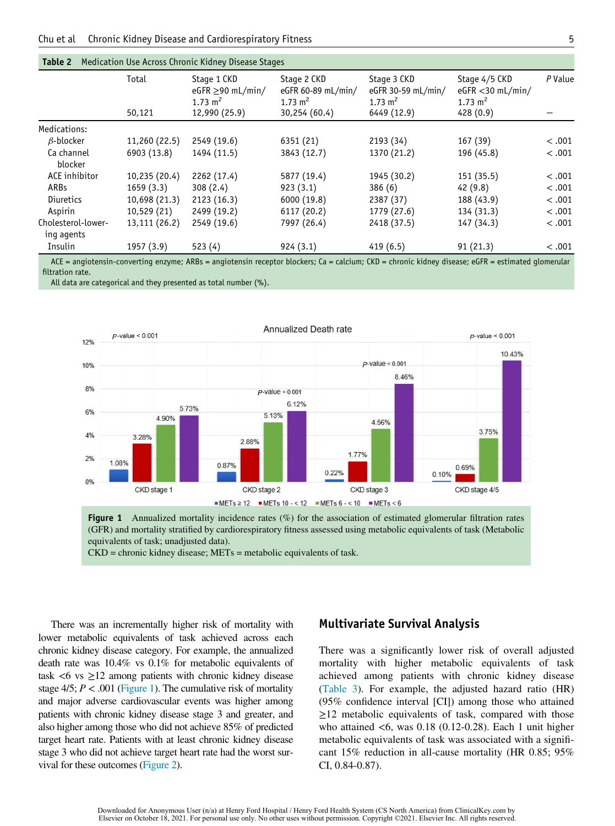<span id="page-6-0"></span>

|                                  | Total         | Stage 1 CKD<br>eGFR $\geq$ 90 mL/min/<br>1.73 m <sup>2</sup> | Stage 2 CKD<br>eGFR 60-89 mL/min/<br>1.73 m <sup>2</sup> | Stage 3 CKD<br>eGFR 30-59 mL/min/<br>1.73 $m2$ | Stage 4/5 CKD<br>$eGFR < 30$ mL/min/<br>1.73 m <sup>2</sup> | P Value |
|----------------------------------|---------------|--------------------------------------------------------------|----------------------------------------------------------|------------------------------------------------|-------------------------------------------------------------|---------|
|                                  | 50,121        | 12,990 (25.9)                                                | 30,254 (60.4)                                            | 6449 (12.9)                                    | 428 (0.9)                                                   |         |
| Medications:                     |               |                                                              |                                                          |                                                |                                                             |         |
| $\beta$ -blocker                 | 11,260 (22.5) | 2549 (19.6)                                                  | 6351 (21)                                                | 2193 (34)                                      | 167(39)                                                     | < .001  |
| Ca channel<br>blocker            | 6903 (13.8)   | 1494 (11.5)                                                  | 3843 (12.7)                                              | 1370 (21.2)                                    | 196 (45.8)                                                  | < .001  |
| ACE inhibitor                    | 10,235 (20.4) | 2262 (17.4)                                                  | 5877 (19.4)                                              | 1945 (30.2)                                    | 151(35.5)                                                   | < .001  |
| ARBs                             | 1659(3.3)     | 308(2.4)                                                     | 923(3.1)                                                 | 386(6)                                         | 42(9.8)                                                     | < .001  |
| Diuretics                        | 10,698 (21.3) | 2123 (16.3)                                                  | 6000 (19.8)                                              | 2387 (37)                                      | 188 (43.9)                                                  | < .001  |
| Aspirin                          | 10,529 (21)   | 2499 (19.2)                                                  | 6117 (20.2)                                              | 1779 (27.6)                                    | 134 (31.3)                                                  | < .001  |
| Cholesterol-lower-<br>ing agents | 13,111 (26.2) | 2549 (19.6)                                                  | 7997 (26.4)                                              | 2418 (37.5)                                    | 147 (34.3)                                                  | < .001  |
| Insulin                          | 1957 (3.9)    | 523(4)                                                       | 924(3.1)                                                 | 419(6.5)                                       | 91(21.3)                                                    | < .001  |

#### Table 2 Medication Use Across Chronic Kidney Disease Stages

ACE = angiotensin-converting enzyme; ARBs = angiotensin receptor blockers; Ca = calcium; CKD = chronic kidney disease; eGFR = estimated glomerular filtration rate.

<span id="page-6-1"></span>All data are categorical and they presented as total number (%).



Figure 1 Annualized mortality incidence rates (%) for the association of estimated glomerular filtration rates (GFR) and mortality stratified by cardiorespiratory fitness assessed using metabolic equivalents of task (Metabolic equivalents of task; unadjusted data).

CKD = chronic kidney disease; METs = metabolic equivalents of task.

There was an incrementally higher risk of mortality with lower metabolic equivalents of task achieved across each chronic kidney disease category. For example, the annualized death rate was 10.4% vs 0.1% for metabolic equivalents of task  $<6$  vs  $\geq 12$  among patients with chronic kidney disease stage  $4/5$ ;  $P < .001$  [\(Figure 1\)](#page-6-1). The cumulative risk of mortality and major adverse cardiovascular events was higher among patients with chronic kidney disease stage 3 and greater, and also higher among those who did not achieve 85% of predicted target heart rate. Patients with at least chronic kidney disease stage 3 who did not achieve target heart rate had the worst survival for these outcomes [\(Figure 2](#page-7-0)).

#### Multivariate Survival Analysis

There was a significantly lower risk of overall adjusted mortality with higher metabolic equivalents of task achieved among patients with chronic kidney disease [\(Table 3](#page-7-1)). For example, the adjusted hazard ratio (HR) (95% confidence interval [CI]) among those who attained  $\geq$ 12 metabolic equivalents of task, compared with those who attained <6, was 0.18 (0.12-0.28). Each 1 unit higher metabolic equivalents of task was associated with a significant 15% reduction in all-cause mortality (HR 0.85; 95% CI, 0.84-0.87).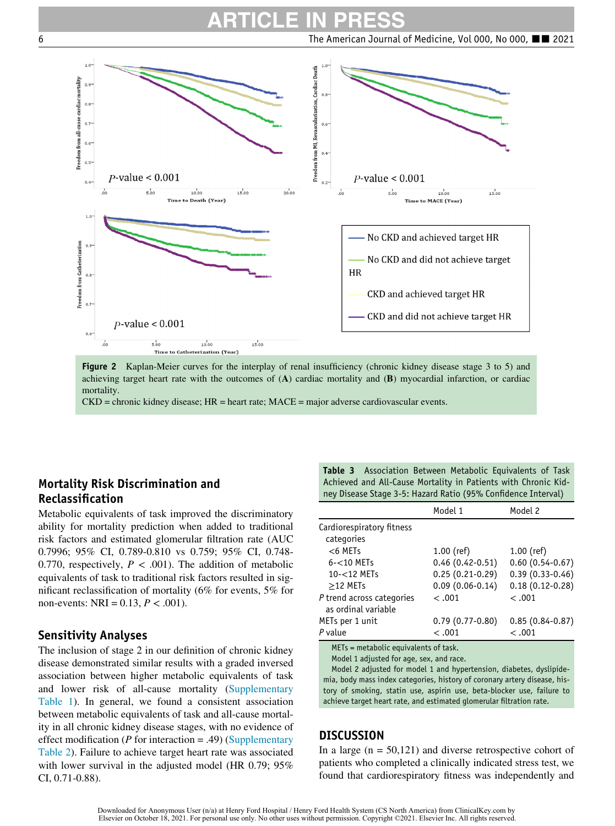## ARTICLE IN PRESS

<span id="page-7-0"></span>6 The American Journal of Medicine, Vol 000, No 000, ■■ 2021



Figure 2 Kaplan-Meier curves for the interplay of renal insufficiency (chronic kidney disease stage 3 to 5) and achieving target heart rate with the outcomes of (A) cardiac mortality and (B) myocardial infarction, or cardiac mortality.

CKD = chronic kidney disease; HR = heart rate; MACE = major adverse cardiovascular events.

#### <span id="page-7-1"></span>Mortality Risk Discrimination and Reclassification

Metabolic equivalents of task improved the discriminatory ability for mortality prediction when added to traditional risk factors and estimated glomerular filtration rate (AUC 0.7996; 95% CI, 0.789-0.810 vs 0.759; 95% CI, 0.748- 0.770, respectively,  $P < .001$ ). The addition of metabolic equivalents of task to traditional risk factors resulted in significant reclassification of mortality (6% for events, 5% for non-events: NRI =  $0.13, P < .001$ ).

#### Sensitivity Analyses

The inclusion of stage 2 in our definition of chronic kidney disease demonstrated similar results with a graded inversed association between higher metabolic equivalents of task and lower risk of all-cause mortality [\(Supplementary](#page-11-0) [Table 1\)](#page-11-0). In general, we found a consistent association between metabolic equivalents of task and all-cause mortality in all chronic kidney disease stages, with no evidence of effect modification (*P* for interaction = .49) [\(Supplementary](#page-11-1) [Table 2](#page-11-1)). Failure to achieve target heart rate was associated with lower survival in the adjusted model (HR 0.79; 95%) CI, 0.71-0.88).

Table 3 Association Between Metabolic Equivalents of Task Achieved and All-Cause Mortality in Patients with Chronic Kidney Disease Stage 3-5: Hazard Ratio (95% Confidence Interval)

|                                        | Model 1             | Model 2             |
|----------------------------------------|---------------------|---------------------|
| Cardiorespiratory fitness              |                     |                     |
| categories                             |                     |                     |
| $<$ 6 METs                             | $1.00$ (ref)        | $1.00$ (ref)        |
| $6 - 10$ METs                          | $0.46(0.42-0.51)$   | $0.60(0.54-0.67)$   |
| 10-<12 METs                            | $0.25(0.21-0.29)$   | $0.39(0.33 - 0.46)$ |
| $>12$ METs                             | $0.09(0.06 - 0.14)$ | $0.18(0.12-0.28)$   |
| P trend across categories              | $-.001$             | $-.001$             |
| as ordinal variable                    |                     |                     |
| METs per 1 unit                        | $0.79(0.77 - 0.80)$ | $0.85(0.84 - 0.87)$ |
| P value                                | < .001              | < .001              |
| $METc = matchingic equivalence of the$ |                     |                     |

equivalents of tas Model 1 adjusted for age, sex, and race.

Model 2 adjusted for model 1 and hypertension, diabetes, dyslipidemia, body mass index categories, history of coronary artery disease, history of smoking, statin use, aspirin use, beta-blocker use, failure to achieve target heart rate, and estimated glomerular filtration rate.

#### **DISCUSSION**

In a large  $(n = 50,121)$  and diverse retrospective cohort of patients who completed a clinically indicated stress test, we found that cardiorespiratory fitness was independently and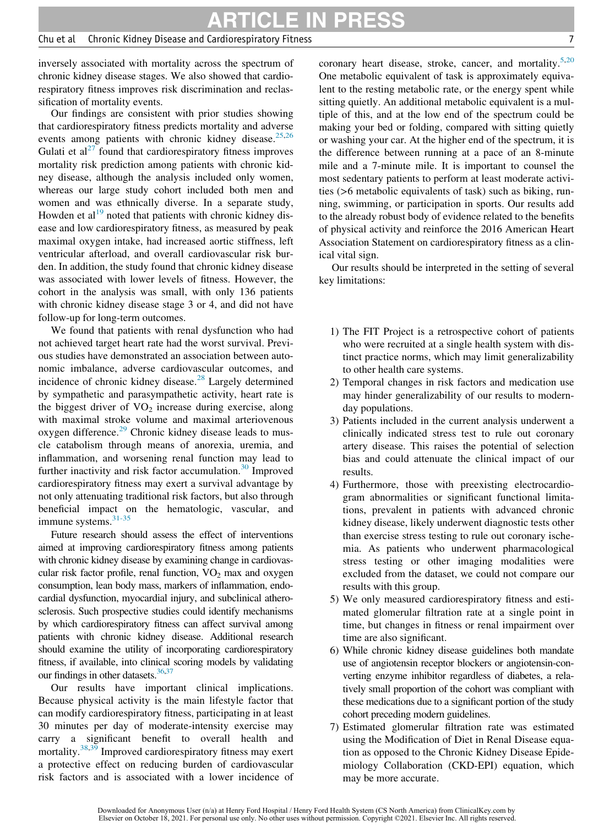#### Chu et al Chronic Kidney Disease and Cardiorespiratory Fitness 7

inversely associated with mortality across the spectrum of chronic kidney disease stages. We also showed that cardiorespiratory fitness improves risk discrimination and reclassification of mortality events.

Our findings are consistent with prior studies showing that cardiorespiratory fitness predicts mortality and adverse events among patients with chronic kidney disease.<sup>25[,26](#page-9-16)</sup> Gulati et  $al^{27}$  $al^{27}$  $al^{27}$  found that cardiorespiratory fitness improves mortality risk prediction among patients with chronic kidney disease, although the analysis included only women, whereas our large study cohort included both men and women and was ethnically diverse. In a separate study, Howden et  $al<sup>19</sup>$  $al<sup>19</sup>$  $al<sup>19</sup>$  noted that patients with chronic kidney disease and low cardiorespiratory fitness, as measured by peak maximal oxygen intake, had increased aortic stiffness, left ventricular afterload, and overall cardiovascular risk burden. In addition, the study found that chronic kidney disease was associated with lower levels of fitness. However, the cohort in the analysis was small, with only 136 patients with chronic kidney disease stage 3 or 4, and did not have follow-up for long-term outcomes.

We found that patients with renal dysfunction who had not achieved target heart rate had the worst survival. Previous studies have demonstrated an association between autonomic imbalance, adverse cardiovascular outcomes, and incidence of chronic kidney disease. $28$  Largely determined by sympathetic and parasympathetic activity, heart rate is the biggest driver of  $VO<sub>2</sub>$  increase during exercise, along with maximal stroke volume and maximal arteriovenous oxygen difference.<sup>[29](#page-9-19)</sup> Chronic kidney disease leads to muscle catabolism through means of anorexia, uremia, and inflammation, and worsening renal function may lead to further inactivity and risk factor accumulation. $30$  Improved cardiorespiratory fitness may exert a survival advantage by not only attenuating traditional risk factors, but also through beneficial impact on the hematologic, vascular, and immune systems.<sup>[31-35](#page-9-21)</sup>

Future research should assess the effect of interventions aimed at improving cardiorespiratory fitness among patients with chronic kidney disease by examining change in cardiovascular risk factor profile, renal function,  $VO<sub>2</sub>$  max and oxygen consumption, lean body mass, markers of inflammation, endocardial dysfunction, myocardial injury, and subclinical atherosclerosis. Such prospective studies could identify mechanisms by which cardiorespiratory fitness can affect survival among patients with chronic kidney disease. Additional research should examine the utility of incorporating cardiorespiratory fitness, if available, into clinical scoring models by validating our findings in other datasets. $36,37$  $36,37$ 

Our results have important clinical implications. Because physical activity is the main lifestyle factor that can modify cardiorespiratory fitness, participating in at least 30 minutes per day of moderate-intensity exercise may carry a significant benefit to overall health and mortality.<sup>[38,](#page-10-2)[39](#page-10-3)</sup> Improved cardiorespiratory fitness may exert a protective effect on reducing burden of cardiovascular risk factors and is associated with a lower incidence of coronary heart disease, stroke, cancer, and mortality.<sup>[5,](#page-9-4)[20](#page-9-9)</sup> One metabolic equivalent of task is approximately equivalent to the resting metabolic rate, or the energy spent while sitting quietly. An additional metabolic equivalent is a multiple of this, and at the low end of the spectrum could be making your bed or folding, compared with sitting quietly or washing your car. At the higher end of the spectrum, it is the difference between running at a pace of an 8-minute mile and a 7-minute mile. It is important to counsel the most sedentary patients to perform at least moderate activities (>6 metabolic equivalents of task) such as biking, running, swimming, or participation in sports. Our results add to the already robust body of evidence related to the benefits of physical activity and reinforce the 2016 American Heart Association Statement on cardiorespiratory fitness as a clinical vital sign.

Our results should be interpreted in the setting of several key limitations:

- 1) The FIT Project is a retrospective cohort of patients who were recruited at a single health system with distinct practice norms, which may limit generalizability to other health care systems.
- 2) Temporal changes in risk factors and medication use may hinder generalizability of our results to modernday populations.
- 3) Patients included in the current analysis underwent a clinically indicated stress test to rule out coronary artery disease. This raises the potential of selection bias and could attenuate the clinical impact of our results.
- 4) Furthermore, those with preexisting electrocardiogram abnormalities or significant functional limitations, prevalent in patients with advanced chronic kidney disease, likely underwent diagnostic tests other than exercise stress testing to rule out coronary ischemia. As patients who underwent pharmacological stress testing or other imaging modalities were excluded from the dataset, we could not compare our results with this group.
- 5) We only measured cardiorespiratory fitness and estimated glomerular filtration rate at a single point in time, but changes in fitness or renal impairment over time are also significant.
- 6) While chronic kidney disease guidelines both mandate use of angiotensin receptor blockers or angiotensin-converting enzyme inhibitor regardless of diabetes, a relatively small proportion of the cohort was compliant with these medications due to a significant portion of the study cohort preceding modern guidelines.
- 7) Estimated glomerular filtration rate was estimated using the Modification of Diet in Renal Disease equation as opposed to the Chronic Kidney Disease Epidemiology Collaboration (CKD-EPI) equation, which may be more accurate.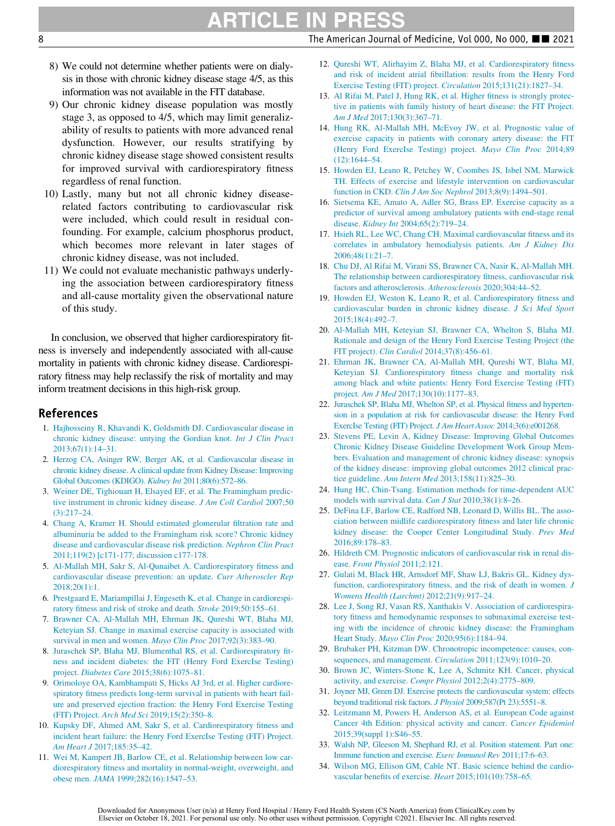# ARTICLE IN PR

8 Shapes 2021 **The American Journal of Medicine, Vol 000, No 000,**  $\blacksquare$  2021

- 8) We could not determine whether patients were on dialysis in those with chronic kidney disease stage 4/5, as this information was not available in the FIT database.
- <span id="page-9-6"></span><span id="page-9-5"></span>9) Our chronic kidney disease population was mostly stage 3, as opposed to 4/5, which may limit generalizability of results to patients with more advanced renal dysfunction. However, our results stratifying by chronic kidney disease stage showed consistent results for improved survival with cardiorespiratory fitness regardless of renal function.
- <span id="page-9-7"></span>10) Lastly, many but not all chronic kidney diseaserelated factors contributing to cardiovascular risk were included, which could result in residual confounding. For example, calcium phosphorus product, which becomes more relevant in later stages of chronic kidney disease, was not included.
- <span id="page-9-8"></span>11) We could not evaluate mechanistic pathways underlying the association between cardiorespiratory fitness and all-cause mortality given the observational nature of this study.

<span id="page-9-11"></span><span id="page-9-9"></span>In conclusion, we observed that higher cardiorespiratory fitness is inversely and independently associated with all-cause mortality in patients with chronic kidney disease. Cardiorespiratory fitness may help reclassify the risk of mortality and may inform treatment decisions in this high-risk group.

#### <span id="page-9-12"></span><span id="page-9-0"></span>References

- <span id="page-9-13"></span>1. [Hajhosseiny R, Khavandi K, Goldsmith DJ. Cardiovascular disease in](http://refhub.elsevier.com/S0002-9343(21)00560-X/sbref0001) [chronic kidney disease: untying the Gordian knot.](http://refhub.elsevier.com/S0002-9343(21)00560-X/sbref0001) Int J Clin Pract [2013;67\(1\):14–31.](http://refhub.elsevier.com/S0002-9343(21)00560-X/sbref0001)
- <span id="page-9-1"></span>2. [Herzog CA, Asinger RW, Berger AK,](http://refhub.elsevier.com/S0002-9343(21)00560-X/sbref0002) et al. Cardiovascular disease in chronic kidney disease. A clinical [update from Kidney Disease: Improving](http://refhub.elsevier.com/S0002-9343(21)00560-X/sbref0002) [Global Outcomes \(KDIGO\).](http://refhub.elsevier.com/S0002-9343(21)00560-X/sbref0002) Kidney Int 2011;80(6):572–86.
- <span id="page-9-14"></span><span id="page-9-2"></span>3. [Weiner DE, Tighiouart H, Elsayed EF, et al. The Framingham predic](http://refhub.elsevier.com/S0002-9343(21)00560-X/sbref0003)[tive instrument in chronic kidney disease.](http://refhub.elsevier.com/S0002-9343(21)00560-X/sbref0003) J Am Coll Cardiol 2007;50 [\(3\):217–24.](http://refhub.elsevier.com/S0002-9343(21)00560-X/sbref0003)
- <span id="page-9-15"></span><span id="page-9-3"></span>4. [Chang A, Kramer H. Should estimated glomerular filtration rate and](http://refhub.elsevier.com/S0002-9343(21)00560-X/sbref0004) [albuminuria be added to the Framingham risk score? Chronic kidney](http://refhub.elsevier.com/S0002-9343(21)00560-X/sbref0004) [disease and cardiovascular disease risk prediction.](http://refhub.elsevier.com/S0002-9343(21)00560-X/sbref0004) Nephron Clin Pract [2011;119\(2\) \[c171-177; discussion c177-178.](http://refhub.elsevier.com/S0002-9343(21)00560-X/sbref0004)
- <span id="page-9-17"></span><span id="page-9-16"></span><span id="page-9-4"></span>5. [Al-Mallah MH, Sakr S, Al-Qunaibet A. Cardiorespiratory fitness and](http://refhub.elsevier.com/S0002-9343(21)00560-X/sbref0005) [cardiovascular disease prevention: an update.](http://refhub.elsevier.com/S0002-9343(21)00560-X/sbref0005) Curr Atheroscler Rep [2018;20\(1\):1.](http://refhub.elsevier.com/S0002-9343(21)00560-X/sbref0005)
- <span id="page-9-18"></span>6. [Prestgaard E, Mariampillai J, Engeseth K, et al. Change in cardiorespi](http://refhub.elsevier.com/S0002-9343(21)00560-X/sbref0006)[ratory fitness and risk of stroke and death.](http://refhub.elsevier.com/S0002-9343(21)00560-X/sbref0006) Stroke 2019;50:155–61.
- 7. [Brawner CA, Al-Mallah MH, Ehrman JK, Qureshi WT, Blaha MJ,](http://refhub.elsevier.com/S0002-9343(21)00560-X/sbref0007) [Keteyian SJ. Change in maximal exercise capacity is associated with](http://refhub.elsevier.com/S0002-9343(21)00560-X/sbref0007) [survival in men and women.](http://refhub.elsevier.com/S0002-9343(21)00560-X/sbref0007) Mayo Clin Proc 2017;92(3):383–90.
- <span id="page-9-19"></span><span id="page-9-10"></span>8. [Juraschek SP, Blaha MJ, Blumenthal RS, et al. Cardiorespiratory fit](http://refhub.elsevier.com/S0002-9343(21)00560-X/sbref0008)[ness and incident diabetes: the FIT \(Henry Ford ExercIse Testing\)](http://refhub.elsevier.com/S0002-9343(21)00560-X/sbref0008) project. Diabetes Care [2015;38\(6\):1075–81.](http://refhub.elsevier.com/S0002-9343(21)00560-X/sbref0008)
- <span id="page-9-21"></span><span id="page-9-20"></span>9. [Orimoloye OA, Kambhampati S, Hicks AJ 3rd, et al. Higher cardiore](http://refhub.elsevier.com/S0002-9343(21)00560-X/sbref0009)[spiratory fitness predicts long-term survival in patients with heart fail](http://refhub.elsevier.com/S0002-9343(21)00560-X/sbref0009)[ure and preserved ejection fraction: the Henry Ford Exercise Testing](http://refhub.elsevier.com/S0002-9343(21)00560-X/sbref0009) (FIT) Project. Arch Med Sci [2019;15\(2\):350–8.](http://refhub.elsevier.com/S0002-9343(21)00560-X/sbref0009)
- 10. [Kupsky DF, Ahmed AM, Sakr S, et al. Cardiorespiratory fitness and](http://refhub.elsevier.com/S0002-9343(21)00560-X/sbref0010) [incident heart failure: the Henry Ford ExercIse Testing \(FIT\) Project.](http://refhub.elsevier.com/S0002-9343(21)00560-X/sbref0010) Am Heart J [2017;185:35–42.](http://refhub.elsevier.com/S0002-9343(21)00560-X/sbref0010)
- 11. [Wei M, Kampert JB, Barlow CE, et al. Relationship between low car](http://refhub.elsevier.com/S0002-9343(21)00560-X/sbref0011)[diorespiratory fitness and mortality in normal-weight, overweight, and](http://refhub.elsevier.com/S0002-9343(21)00560-X/sbref0011) obese men. JAMA [1999;282\(16\):1547–53.](http://refhub.elsevier.com/S0002-9343(21)00560-X/sbref0011)
- 12. [Qureshi WT, Alirhayim Z, Blaha MJ, et al. Cardiorespiratory fitness](http://refhub.elsevier.com/S0002-9343(21)00560-X/sbref0012) [and risk of incident atrial fibrillation: results from the Henry Ford](http://refhub.elsevier.com/S0002-9343(21)00560-X/sbref0012) [Exercise Testing \(FIT\) project.](http://refhub.elsevier.com/S0002-9343(21)00560-X/sbref0012) Circulation 2015;131(21):1827–34.
- 13. [Al Rifai M, Patel J, Hung RK, et al. Higher fitness is strongly protec](http://refhub.elsevier.com/S0002-9343(21)00560-X/sbref0013)[tive in patients with family history of heart disease: the FIT Project.](http://refhub.elsevier.com/S0002-9343(21)00560-X/sbref0013) Am J Med [2017;130\(3\):367–71.](http://refhub.elsevier.com/S0002-9343(21)00560-X/sbref0013)
- 14. [Hung RK, Al-Mallah MH, McEvoy JW, et al. Prognostic value of](http://refhub.elsevier.com/S0002-9343(21)00560-X/sbref0014) [exercise capacity in patients with coronary artery disease: the FIT](http://refhub.elsevier.com/S0002-9343(21)00560-X/sbref0014) [\(Henry Ford ExercIse Testing\) project.](http://refhub.elsevier.com/S0002-9343(21)00560-X/sbref0014) Mayo Clin Proc 2014;89 [\(12\):1644–54.](http://refhub.elsevier.com/S0002-9343(21)00560-X/sbref0014)
- 15. [Howden EJ, Leano R, Petchey W, Coombes JS, Isbel NM, Marwick](http://refhub.elsevier.com/S0002-9343(21)00560-X/sbref0015) [TH. Effects of exercise and lifestyle intervention on cardiovascular](http://refhub.elsevier.com/S0002-9343(21)00560-X/sbref0015) function in CKD. [Clin J Am Soc Nephrol](http://refhub.elsevier.com/S0002-9343(21)00560-X/sbref0015) 2013;8(9):1494–501.
- 16. [Sietsema KE, Amato A, Adler SG, Brass EP. Exercise capacity as a](http://refhub.elsevier.com/S0002-9343(21)00560-X/sbref0016) [predictor of survival among ambulatory patients with end-stage renal](http://refhub.elsevier.com/S0002-9343(21)00560-X/sbref0016) disease. Kidney Int [2004;65\(2\):719–24.](http://refhub.elsevier.com/S0002-9343(21)00560-X/sbref0016)
- 17. [Hsieh RL, Lee WC, Chang CH. Maximal cardiovascular fitness and its](http://refhub.elsevier.com/S0002-9343(21)00560-X/sbref0017) [correlates in ambulatory hemodialysis patients.](http://refhub.elsevier.com/S0002-9343(21)00560-X/sbref0017) Am J Kidney Dis [2006;48\(1\):21–7.](http://refhub.elsevier.com/S0002-9343(21)00560-X/sbref0017)
- 18. [Chu DJ, Al Rifai M, Virani SS, Brawner CA, Nasir K, Al-Mallah MH.](http://refhub.elsevier.com/S0002-9343(21)00560-X/sbref0018) [The relationship between cardiorespiratory fitness, cardiovascular risk](http://refhub.elsevier.com/S0002-9343(21)00560-X/sbref0018) [factors and atherosclerosis.](http://refhub.elsevier.com/S0002-9343(21)00560-X/sbref0018) Atherosclerosis 2020;304:44–52.
- 19. [Howden EJ, Weston K, Leano R, et al. Cardiorespiratory fitness and](http://refhub.elsevier.com/S0002-9343(21)00560-X/sbref0019) [cardiovascular burden in chronic kidney disease.](http://refhub.elsevier.com/S0002-9343(21)00560-X/sbref0019) J Sci Med Sport [2015;18\(4\):492–7.](http://refhub.elsevier.com/S0002-9343(21)00560-X/sbref0019)
- 20. [Al-Mallah MH, Keteyian SJ, Brawner CA, Whelton S, Blaha MJ.](http://refhub.elsevier.com/S0002-9343(21)00560-X/sbref0020) [Rationale and design of the Henry Ford Exercise Testing Project \(the](http://refhub.elsevier.com/S0002-9343(21)00560-X/sbref0020) FIT project). Clin Cardiol [2014;37\(8\):456–61.](http://refhub.elsevier.com/S0002-9343(21)00560-X/sbref0020)
- 21. [Ehrman JK, Brawner CA, Al-Mallah MH, Qureshi WT, Blaha MJ,](http://refhub.elsevier.com/S0002-9343(21)00560-X/sbref0021) [Keteyian SJ. Cardiorespiratory fitness change and mortality risk](http://refhub.elsevier.com/S0002-9343(21)00560-X/sbref0021) [among black and white patients: Henry Ford Exercise Testing \(FIT\)](http://refhub.elsevier.com/S0002-9343(21)00560-X/sbref0021) project. Am J Med [2017;130\(10\):1177–83.](http://refhub.elsevier.com/S0002-9343(21)00560-X/sbref0021)
- 22. [Juraschek SP, Blaha MJ, Whelton SP, et al. Physical fitness and hyperten](http://refhub.elsevier.com/S0002-9343(21)00560-X/sbref0022)[sion in a population at risk for cardiovascular disease: the Henry Ford](http://refhub.elsevier.com/S0002-9343(21)00560-X/sbref0022) [ExercIse Testing \(FIT\) Project.](http://refhub.elsevier.com/S0002-9343(21)00560-X/sbref0022) J Am Heart Assoc 2014;3(6):e001268.
- 23. [Stevens PE, Levin A, Kidney Disease: Improving Global Outcomes](http://refhub.elsevier.com/S0002-9343(21)00560-X/sbref0023) [Chronic Kidney Disease Guideline Development Work Group Mem](http://refhub.elsevier.com/S0002-9343(21)00560-X/sbref0023)[bers. Evaluation and management of chronic kidney disease: synopsis](http://refhub.elsevier.com/S0002-9343(21)00560-X/sbref0023) [of the kidney disease: improving global outcomes 2012 clinical prac](http://refhub.elsevier.com/S0002-9343(21)00560-X/sbref0023)tice guideline. Ann Intern Med [2013;158\(11\):825–30.](http://refhub.elsevier.com/S0002-9343(21)00560-X/sbref0023)
- 24. [Hung HC, Chin-Tsang. Estimation methods for time-dependent AUC](http://refhub.elsevier.com/S0002-9343(21)00560-X/sbref0024) [models with survival data.](http://refhub.elsevier.com/S0002-9343(21)00560-X/sbref0024) Can J Stat 2010;38(1):8-26.
- 25. [DeFina LF, Barlow CE, Radford NB, Leonard D, Willis BL. The asso](http://refhub.elsevier.com/S0002-9343(21)00560-X/sbref0025)[ciation between midlife cardiorespiratory fitness and later life chronic](http://refhub.elsevier.com/S0002-9343(21)00560-X/sbref0025) [kidney disease: the Cooper Center Longitudinal Study.](http://refhub.elsevier.com/S0002-9343(21)00560-X/sbref0025) Prev Med [2016;89:178–83.](http://refhub.elsevier.com/S0002-9343(21)00560-X/sbref0025)
- 26. [Hildreth CM. Prognostic indicators of cardiovascular risk in renal dis](http://refhub.elsevier.com/S0002-9343(21)00560-X/sbref0026)ease. [Front Physiol](http://refhub.elsevier.com/S0002-9343(21)00560-X/sbref0026) 2011;2:121.
- 27. [Gulati M, Black HR, Arnsdorf MF, Shaw LJ, Bakris GL. Kidney dys](http://refhub.elsevier.com/S0002-9343(21)00560-X/sbref0027)[function, cardiorespiratory fitness, and the risk of death in women.](http://refhub.elsevier.com/S0002-9343(21)00560-X/sbref0027) J [Womens Health \(Larchmt\)](http://refhub.elsevier.com/S0002-9343(21)00560-X/sbref0027) 2012;21(9):917–24.
- 28. [Lee J, Song RJ, Vasan RS, Xanthakis V. Association of cardiorespira](http://refhub.elsevier.com/S0002-9343(21)00560-X/sbref0028)[tory fitness and hemodynamic responses to submaximal exercise test](http://refhub.elsevier.com/S0002-9343(21)00560-X/sbref0028)[ing with the incidence of chronic kidney disease: the Framingham](http://refhub.elsevier.com/S0002-9343(21)00560-X/sbref0028) Heart Study. Mayo Clin Proc [2020;95\(6\):1184–94.](http://refhub.elsevier.com/S0002-9343(21)00560-X/sbref0028)
- 29. [Brubaker PH, Kitzman DW. Chronotropic incompetence: causes, con](http://refhub.elsevier.com/S0002-9343(21)00560-X/sbref0029)[sequences, and management.](http://refhub.elsevier.com/S0002-9343(21)00560-X/sbref0029) *Circulation* 2011;123(9):1010-20.
- 30. [Brown JC, Winters-Stone K, Lee A, Schmitz KH. Cancer, physical](http://refhub.elsevier.com/S0002-9343(21)00560-X/sbref0030) [activity, and exercise.](http://refhub.elsevier.com/S0002-9343(21)00560-X/sbref0030) Compr Physiol 2012;2(4):2775–809.
- 31. [Joyner MJ, Green DJ. Exercise protects](http://refhub.elsevier.com/S0002-9343(21)00560-X/sbref0031) the cardiovascular system: effects [beyond traditional risk factors.](http://refhub.elsevier.com/S0002-9343(21)00560-X/sbref0031) J Physiol 2009;587(Pt 23):5551–8.
- 32. [Leitzmann M, Powers H, Anderson AS, et al. European Code against](http://refhub.elsevier.com/S0002-9343(21)00560-X/sbref0032) [Cancer 4th Edition: physical activity and cancer.](http://refhub.elsevier.com/S0002-9343(21)00560-X/sbref0032) Cancer Epidemiol [2015;39\(suppl 1\):S46–55.](http://refhub.elsevier.com/S0002-9343(21)00560-X/sbref0032)
- 33. [Walsh NP, Gleeson M, Shephard RJ, et](http://refhub.elsevier.com/S0002-9343(21)00560-X/sbref0033) al. Position statement. Part one: [Immune function and exercise.](http://refhub.elsevier.com/S0002-9343(21)00560-X/sbref0033) Exerc Immunol Rev 2011;17:6–63.
- 34. [Wilson MG, Ellison GM, Cable NT. Basic science behind the cardio](http://refhub.elsevier.com/S0002-9343(21)00560-X/sbref0034)[vascular benefits of exercise.](http://refhub.elsevier.com/S0002-9343(21)00560-X/sbref0034) Heart 2015;101(10):758–65.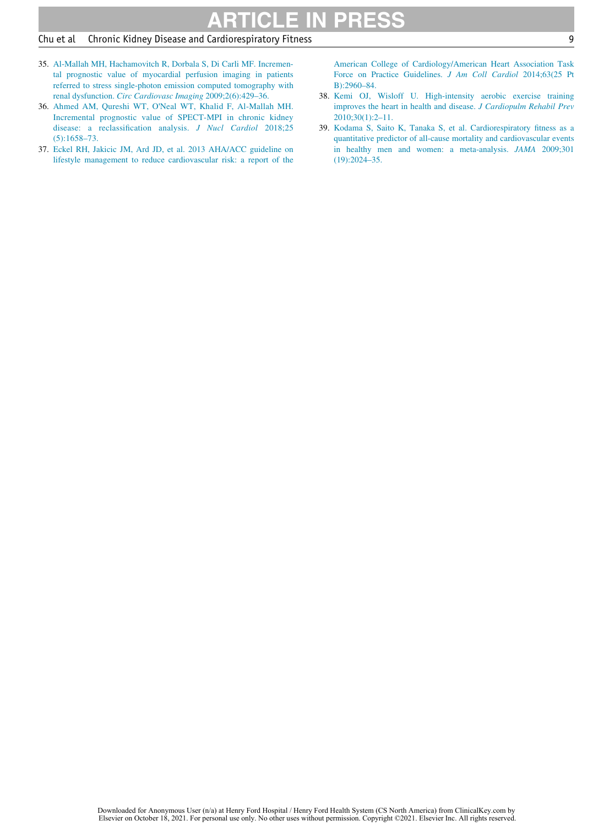#### Chu et al Chronic Kidney Disease and Cardiorespiratory Fitness 9

- 35. [Al-Mallah MH, Hachamovitch R, Dorbala S, Di Carli MF. Incremen](http://refhub.elsevier.com/S0002-9343(21)00560-X/sbref0035)[tal prognostic value of myocardial perfusion imaging in patients](http://refhub.elsevier.com/S0002-9343(21)00560-X/sbref0035) [referred to stress single-photon emission computed tomography with](http://refhub.elsevier.com/S0002-9343(21)00560-X/sbref0035) renal dysfunction. [Circ Cardiovasc Imaging](http://refhub.elsevier.com/S0002-9343(21)00560-X/sbref0035) 2009;2(6):429–36.
- <span id="page-10-3"></span><span id="page-10-2"></span><span id="page-10-0"></span>36. Ahmed AM, Qureshi WT, O'[Neal WT, Khalid F, Al-Mallah MH.](http://refhub.elsevier.com/S0002-9343(21)00560-X/sbref0036) [Incremental prognostic value of](http://refhub.elsevier.com/S0002-9343(21)00560-X/sbref0036) SPECT-MPI in chronic kidney [disease: a reclassification analysis.](http://refhub.elsevier.com/S0002-9343(21)00560-X/sbref0036) J Nucl Cardiol 2018;25 [\(5\):1658–73.](http://refhub.elsevier.com/S0002-9343(21)00560-X/sbref0036)
- <span id="page-10-1"></span>37. [Eckel RH, Jakicic JM, Ard JD, et al. 2013 AHA/ACC guideline on](http://refhub.elsevier.com/S0002-9343(21)00560-X/sbref0037) [lifestyle management to reduce cardiovascular risk: a report of the](http://refhub.elsevier.com/S0002-9343(21)00560-X/sbref0037)

[American College of Cardiology/American Heart Association Task](http://refhub.elsevier.com/S0002-9343(21)00560-X/sbref0037) [Force on Practice Guidelines.](http://refhub.elsevier.com/S0002-9343(21)00560-X/sbref0037) J Am Coll Cardiol 2014;63(25 Pt [B\):2960–84.](http://refhub.elsevier.com/S0002-9343(21)00560-X/sbref0037)

- 38. [Kemi OJ, Wisloff U. High-intensity aerobic exercise training](http://refhub.elsevier.com/S0002-9343(21)00560-X/sbref0038) [improves the heart in health and disease.](http://refhub.elsevier.com/S0002-9343(21)00560-X/sbref0038) J Cardiopulm Rehabil Prev [2010;30\(1\):2–11.](http://refhub.elsevier.com/S0002-9343(21)00560-X/sbref0038)
- 39. [Kodama S, Saito K, Tanaka S, et al. Cardiorespiratory fitness as a](http://refhub.elsevier.com/S0002-9343(21)00560-X/sbref0039) [quantitative predictor of all-cause mortality and cardiovascular events](http://refhub.elsevier.com/S0002-9343(21)00560-X/sbref0039) [in healthy men and women: a meta-analysis.](http://refhub.elsevier.com/S0002-9343(21)00560-X/sbref0039) JAMA 2009;301 [\(19\):2024–35.](http://refhub.elsevier.com/S0002-9343(21)00560-X/sbref0039)